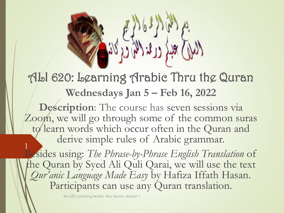

### ALI 620: Learning Arabic Thru the Quran **Wednesdays Jan 5 – Feb 16, 2022**

**Description**: The course has seven sessions via Zoom, we will go through some of the common suras to learn words which occur often in the Quran and derive simple rules of Arabic grammar. 1

Besides using: *The Phrase-by-Phrase English Translation* of the Quran by Syed Ali Quli Qarai, we will use the text *Qur'anic Language Made Easy* by Hafiza Iffath Hasan. Participants can use any Quran translation.

ALI 620: Learning Arabic thru Quran, Session 1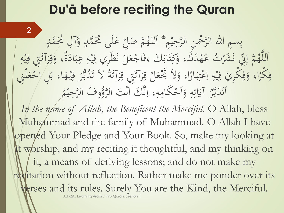### **Du'ā before reciting the Quran**

2

بِسمِ الله الرَّحْمنِ الرَّحِيْمِ \* اَللهُمَّ صَلِّ  $\frac{1}{2}$ ه<br>به يَّ صَـَلِّ<br>مَا مَسَلِّ **€** للهُمَّ صَلِّ عَلَى مُحَمَّدٍ وَّآلِ مُحَمَّدٍ  $\frac{1}{2}$ ا  $\overline{a}$  $\overline{a}$  $\int$ ا<br>ا ثُ عَهْدَكَ<br>-ا<br>ا رت<br>.. شر َ َ \<br>فيا ِّين ِ<br>ين<br>ي مَّة إِلَيْ<br>مَ إِلَيْ  $\sqrt{2}$ ا **€** اَللَّهُمَّ ابِّي نَشَرْتُ عَهْدَكَ، وَكِتَابَكَ ،فَاجْعَلْ نَظَرِي فِيْهِ عِبَادَةً، وَقِرَآئَتِي فِيْهِ<br>ع  $\frac{1}{2}$  $\ddot{\lambda}$ ت و<br>ا اما<br>ما  $\ddot{\cdot}$ بدبد  $\overline{4}$  $\frac{1}{2}$ ه<br>4:  $\frac{1}{2}$ ر<br>ف م ا<br>م<br>ا <u>ة</u>  $\ddot{\circ}$  $\frac{1}{2}$  $\frac{1}{2}$ َ ِ  $\frac{1}{2}$  $\frac{1}{2}$  $\frac{1}{2}$ م<br>گ )<br>ئىم  $\int$  $\overline{\phantom{a}}$ مكر ف ، مكِري ف و ا ار ع ه ف ، تم الَ َ و ر ق َل ع آ ر ِِت ق ئ آ ة ُ د لِن ت َ الَ م ع ِل اج ا، ب ه ي ف ر ُّ ب  $\frac{1}{2}$ مبر<br>مار<br>ا  $\frac{1}{2}$ َ  $\overline{\phantom{a}}$  $\ddot{\cdot}$  $\frac{1}{2}$  $\ddot{.}$ :<br>\*<br>\* م  $\frac{1}{2}$ ا ِ  $\frac{1}{2}$  $\frac{1}{2}$  $\frac{1}{2}$ َ ر<br>د  $\frac{1}{2}$ م ر<br>ر **<u>•</u>** م<br>گ  $\ddot{a}$ م<br>ک \خ<br>ك ر<br>تا **م**<br>م ب<br>. d<br>C  $\frac{1}{2}$  $\ddot{\bullet}$ ر<br>ما ِ آيَاتِهِ وَأَحْكَامِهِ  $\mathbf{A}$ ا<br>مار<br>مار  $\frac{1}{2}$ ا َ  $\overline{4}$ ِ<br>ِن ة<br>ما  $\ddot{\phantom{0}}$ ر<br>م اَتَدَبَّرُ آيَاتِهِ وَاَحْكَامِهِ، اِنَّكَ اَنْتَ ا  $\overline{\phantom{a}}$ ز<br>تا ر:<br>ا  $\left| \cdot \right|$  $\ddot{\phantom{a}}$ .<br>ر ن<br>ز  $\left| \right|$ بر<br>ز  $\overline{\mathcal{L}}$ ا  $\bigcap$ وفُّ الرَّحِيْمُ  $\frac{1}{2}$  $\frac{1}{2}$ اِسَةً

In the name of Allah, the Beneficent the Merciful. O Allah, bless Muhammad and the family of Muhammad. O Allah I have opened Your Pledge and Your Book. So, make my looking at It worship, and my reciting it thoughtful, and my thinking on it, a means of deriving lessons; and do not make my reditation without reflection. Rather make me ponder over its verses and its rules. Surely You are the Kind, the Merciful. ALI 620: Learning Arabic thru Quran, Session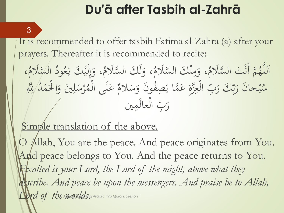## **Du'ā after Tasbih al-Zahrā**

It is recommended to offer tasbih Fatima al-Zahra (a) after your prayers. Thereafter it is recommended to recite:

 $\frac{1}{2}$ ا مَّ أَنْتَ السَّلَامُ<br>مَ َ .<br>ن ہ<br>ز **€** للَّهُمَّ أَنْتَ السَّلَامُ، وَمِنْكَ السَّلَامُ،<br>وَمَنْكَ السَّلَامُ، ه<br>.<br>.  $\mathbf{A}$ و<br>، وَلَكَ السَّلاَمُ،<br>م َ ل ہ<br>ِ ال<br>ا وَإِلَيْكَ يَعُ<br>فَبِي يا:<br>.  $\frac{1}{2}$ ڵ<br>ؚ ل  $\int$ إ ەر<br>بر السِّلامُ<br>و ُ ودُ السَّلَامُ، ُ ِصف ما ي َّ َ يا<br>. بِّ الْعِزَّةِ عَ ।<br>प ل<br>ا تاقح رَبٌّ<br>و ِ<br>پا<br>پ با با با َ حانَ رَزِ  $\ddot{\zeta}$ **م**<br>به ه<br>به **م** سُبْحانَ رَبِّكَ رَبِّ الْعِزَّةِ عَمَّا يَصِفُونَ وَسَلامٌ عَلَى الْمُرْسَلِينَ  $\ddot{\phantom{0}}$  $\overline{\mathfrak{c}}$  $\overline{\phantom{0}}$ م **a** عَلَى الْمُ م  $\int$ ا<br>ا ونَ وَسَلامٌ عَلَى الْمُرْسَلِينَ وَالْحَمْدُ لِلَّهِ َ ن<br>ب  $\overline{a}$ م .<br>.<br>. ل<br>ما ا و<br>⁄ بِّ الْعالَمِين ل<br>ا م زب<br>د ر

### Simple translation of the above.

3

O Allah, You are the peace. And peace originates from You. And peace belongs to You. And the peace returns to You. *Exalted is your Lord, the Lord of the might, above what they describe. And peace be upon the messengers. And praise be to Allah,*  Lord of the Aworlds. Arabic thru Quran, Session 1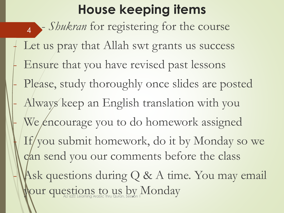# **House keeping items** 4 - Shukran for registering for the course Let us pray that Allah swt grants us success Ensure that you have revised past lessons Please, study thoroughly once slides are posted - Always keep an English translation with you We encourage you to do homework assigned If/you submit homework, do it by Monday so we can send you our comments before the class Ask questions during Q & A time. You may email Mour questions to us by Monday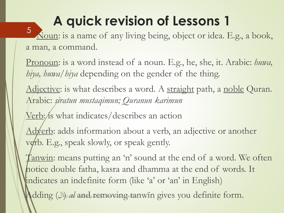# **A quick revision of Lessons 1**

Noun: is a name of any living being, object or idea. E.g., a book, a man, a command. 5

Pronoun: is a word instead of a noun. E.g., he, she, it. Arabic: *huwa, hiya, huwa/hiya* depending on the gender of the thing.

Adjective: is what describes a word. A straight path, a noble Quran. Arabic: *siratun mustaqimun; Quranun karimun*

Verb: is what indicates/describes an action

Adverb: adds information about a verb, an adjective or another verb. E.g., speak slowly, or speak gently.

Tanwin: means putting an 'n' sound at the end of a word. We often notice double fatha, kasra and dhamma at the end of words. It indicates an indefinite form (like 'a' or 'an' in English)

Adding (J) al and removing tanwin gives you definite form.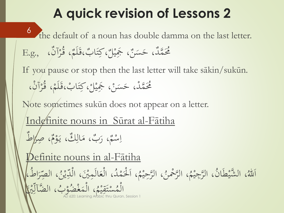### **A quick revision of Lessons 2** the default of a noun has double damma on the last letter. ، قُرْآنٌ، E.g., م ٌ بٌ،قَلَمٌ <u>ة</u><br>قا ٌ ا ،كِ  $\ddot{\lambda}$ ا :<br>الم<br>1 ، جَمِيْالٌ  $\frac{1}{2}$ ٌ مُّحَمَّلٌ، حَسَنٌ  $\overline{a}$ If you pause or stop then the last letter will take sākin/sukūn. ، كِتَابْ،قَلَمْ، قُرْآلُنْ، م<br>1<br>| م م <u>ً</u><br>قا م  $\frac{1}{2}$ ا :<br>الم م مُحَمَّدْ، حَسَنْ، جَمِيْلْ ه<br>4: م  $\overline{a}$ م Note sometimes sukūn does not appear on a letter. Indefinite nouns in Sūrat al-Fātiha ط ٌ ِصر ، ا  $\overline{z}$  $\bigcap$ بٌ، مَالِكٌ، يَوْمٌ م یا<br>۔ ؚ  $\lambda$ رب<br>' ، ر  $\bigcap$ م س م  $\overline{\mathcal{L}}$ ا Definite nouns in al-Fātiha .<br>.<br>. ْل َ م ، ا **ا** م حِ َّ ، الر  $\frac{1}{2}$ ه<br>4: اب<br>ا ، الرَّحْمنُ **ا** ، الشَّيْطَانُ، الرَّجِيْمُ  $\frac{1}{2}$  $\frac{1}{2}$ اَللّهُ، الشَّيْطَانُ، الرَّجِيْمُ، الرَّحْمِنُ، الرَّحِيْمُ، اَلْحَمْدُ، الْعَالَمِيْنَ، الْكِيْنُ، الصِّرَا<br>أَللّهُ، الشَّيْطَانُ، الرَّجِيْمُ، الرَّحْمِنُ، الرَّحِيْمُ، اَلْحَمْدُ، الْعَالَمِيْنَ، الْكِيْنِي ر<br>; ِ<br>س  $\frac{1}{2}$ ، الص .<br>。 ُهْدُ، الْعَالَمِيْنَ، الْدِّيْنُ، الصِّرَاطُ، ب<br>م ه يا: ِ<br>ب ل<br>ا ا<br>ا م م<br>م بُ، الضَّآلِيْنَ**َ** س<br>ل و ب<br>الله ، الْمَعْضُوْرِ<br>۱) الْمَعْضُوْر  $\frac{1}{\alpha}$ ل<br>ند  $\int_{0}^{1}$ 20 mile  $\frac{1}{2}$  $\frac{1}{2}$   $\frac{1}{2}$  $\frac{1}{2}$  $\frac{1}{2}$ بر **بر بر**<br>1  $\frac{1}{2}$  $\overline{\mathbf{S}}$ المُسْتَقِيمُ ) الْمَغْضُبُوْرِ)<br>ALI 620: Learning Arabic thru Quran, Session 1 ل<br>م 6

ا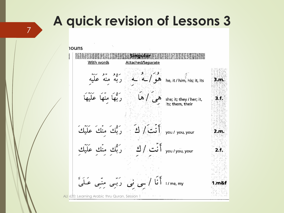# **A quick revision of Lessons 3**

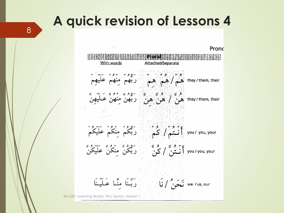## **A quick revision of Lessons 4**



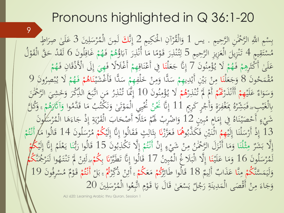### Pronouns highlighted in Q 36:1-20

بِسْمِ اللَّهِ الرَّحْمَٰنِ الرَّحِيمِ . يس 1 وَالْقُرْآنِ الْحَكِيمِ 2 إِنَّكَ لَمِنَ الْمُرْسَلِينَ<br>مَسْعَمَّا السَّامِينَ الرَّحِيمِ . يس 1 وَالْقُرْآنِ الْحَكِيمِ 2 إِنَّكَ لَمِنَ الْمُرْسَلِينَ م لز<br>ا ا ر<br>. م َ بر<br>ز  $\int$  $\overline{\mathbf{r}}$  $\frac{1}{2}$ م **△** لَمِنَ الْمُرْسَلِينَ 3 عَلَىٰ صِرَاطٍ ل<br>ا  $\ddot{\phantom{0}}$  $\frac{1}{2}$ ا ر<br>. ا<br>ـ ا<br>ا مُسْتَقِيمٍ 4 تَنْزِيلَ الْعَزِيزِ الرَّحِيمِ 5 لِتُنْذِرَ قَوْمًا مَا أُنْذِرَ آبَاؤُهُمْ<br>مَسْتَقِيمٍ 4 تَنْزِيلَ الْعَزِيزِ الرَّحِيمِ 5 لِتُنْذِرَ قَوْمًا مَا أُنْذِرَ آبَاؤُهُمْ ا<br>به  $\frac{1}{2}$  $\ddot{\lambda}$ برونه م **گ**ر م  $\overline{\phantom{0}}$ م ه<br>.<br>. ِيا۔<br>ہ  $\overline{\phantom{a}}$ ِ ن<br>ز  $\lambda$  $\lambda$ م )<br>,  $\overline{a}$ ه<br>.<br>. ِ<br>لُ ل م  $\frac{2}{3}$  $\overline{a}$ َ ُه ف م م هُمْ غَافِلُونَ 6 لَقَدْ حَقَّ الْقَوْلُ<br>جَمَعَ وَءَ صَحَفَ  $\frac{1}{2}$ م م َ عَلَىٰ أَكْثَرِهِمْ فَهُمْ بند<br>منا ا ب ى<br>ك م  $\mathbf{z}$ ֚֚֚֬ َ م مُمْ لَا يُؤْمِنُونَ<br>وُ و<br>مغرب  $\mathbf{a}$ م<br>م یا<br>۔ لَا يُؤْمِنُونَ 7 إِنَّا جَعَلْنَا فِي أَعْنَاقِهِمْ أَغْلَالًا فَهِيَ إِلَى الْأَذْقَانِ فَهُمْ السم<br>السم  $\ddot{\phantom{0}}$  $\int_{S}$ ند<br>م ن  $\frac{1}{2}$  $\frac{1}{2}$ ر<br>ند م م .<br>ك <u>ة</u> َ)، ∖. َ ة<br>ق  $\int_{\mathcal{L}}$ إ م **€** ه ڠۧمَحُونَ<br>م **م<br>م ∕** مُقْمَحُونَ 8 وَجَعَلْنَا مِنْ بَيْنِ أَيْدِيهِ<br>يَجْمَعُنَ يَجْمَعُ بِهِ مَعَ الْمَرْضَى ه<br>بر ر<br>∶ٌد  $\overline{a}$ ر<br>.<br>. مِنْ بَيْنِ أَيْدِيهِمْ سَدًّا وَمِنْ خَلْفِهِمْ سَدًّا فَأَغْشَيْنَاهُمْ<br>مَجْمِيدَ وَالْحَقَّامِينَ الْمَسْرَدِينَ وَالْمَرْسَى وَالْمَسْرَةِ وَالْمَسْرَةِ وَالْمَسْرَةِ وَالْمَسْرَةِ ب ما ا م  $\mathbf{A}$ م م .<br>.  $\mathbf{A}$ ہ<br>و  $\overline{a}$  $\ddot{a}$ م<br>مرا مبر<br>ت .<br>ك ىد<br>وا م **ه** اُه ند<br>ن ن فَهُمْ لَا يُبْصِرُونَ<br>يو م ِ م ه<br>به لَا يُبْصِرُونَ 9<br>ما ا<br>ما<br>بالا<br>بالا عَلَيْ ى<br>ك  $\zeta$ وَسَوَاءٌ عَلَيْهِمْ أَأَنْذَرْقَمُ أَمْ لَمْ تُنْذِرْهُمْ و<br>د ر<br>, َ م<br>ما ر<br>م م م ِ ه<br>.<br>^  $\sum_{i=1}^{n}$ مهم م<br>ا هُمْ لَا يُؤْمِنُونَ<br>1.4 و<br>م  $\mathbf{A}$ ممر<br>ر يُؤْمِنُونَ 10 إِنَّمَا تُنْذِرُ مَنِ اتَّبَعَ الذِّكْرُ<br>تَدَيَّنَ مُنْ أَنْهُمْ مُنْ اتَّبَعَ الذِّكْرُ بر<br>با  $\sum$  $\frac{1}{2}$ َم<br>ر ر<br>ا اِيَّمَا تُنْذِرُ مَنِ اتَّبَعَ الذِّكْرَ وَخَشِيَ الرَّحْمٰنَ<br>وَيَسَا تُنْذِرُ مَنِ اتَّبَعَ الذِّكْرَ وَخَشِيَ الرَّحْمٰنَ  $\frac{1}{2}$ ه<br>.<br>. إ :<br>|<br>|  $\frac{1}{2}$ ِ<br>و ر<br>، بَمَغْفِرَةٍ وَأَجْرٍ كَرِيمٍ  $\overline{a}$ م َ َ  $\ddot{a}$ م  $\ddot{\phantom{1}}$ ُ ِ<br>ڛ۠ۄۄ ر<br>. بَنَتْہ<br>من ا<br>بار<br>بار<br>-<u>ة</u> بِالْغَيْبِءِ فَبَشِّرْهُ بِمَغْفِرَةٍ وَأَجْرٍ كَرِيمٍ 11 إِنَّا  $\frac{1}{2}$  $\frac{1}{2}$ .<br>فر م  $\int_{\mathcal{L}}$ إ .<br>-<br>-نَّحْنُ نُحْيِي الْمَوْتَىٰ وَنَكْتُبُ مَا قَدَّمُوا .<br>.<br>. بر في<br>أ َ بر و م  $\sim$ م ي م **∕** دم َّ ا ق م ة<br>قا  $\lambda$ المباد المستقبل المستقبل المستقبل المستقبل المستقبل المستقبل المستقبل المستقبل المستقبل المستقبل المستقبل المس<br>والمستقبل المستقبل المستقبل المستقبل المستقبل المستقبل المستقبل المستقبل المستقبل المستقبل المستقبل المستقبل ا ْكُتُبْ مَا قَدَّمُوا وَآَثَ*ارَهُ*مْ<br>مُ م ا  $\frac{2}{\sqrt{2}}$ وَآثَارَهُمْ ۽ وَكُلُّ  $\overline{a}$ َ و<br>بر ي ٍ ِ بد **∕** في إِمَامٍ مُ  $\lambda$  $\int$ ُ شَيْءٍ أَحْصَيْنَاهُ فِي إِمَامٍ مُبِينٍ 12 وَاضْرِبْ لَهُمْ مَثَلًا أَصْحَابَ الْقَـ<br>موسوع الله عليه السياسية عليه الله عليه الله عليه عليه الله عليه الله عليه الله  $\ddot{\lambda}$ ر در  $\frac{1}{2}$  $\overline{\phantom{a}}$ م  $\zeta$ .<br>1 <u>ل</u><br>. َ م  $\tilde{\mathbf{r}}$  $\lambda$ م وَاضْرِبْ لَهُمْ مَثَلًا أَصْحَابَ الْقَرْيَةِ إِذْ جَاءَهَا الْمُرْسَلُهُ<br>عَيَدَهُ .<br>. م ا و<br>.  $\overline{a}$ ر<br>ما  $\lambda$ رْيَةِ إِذْ جَاءَهَا الْمُرْسَلُونَ م ِم<br>⊿  $\sim$  $\sim$ م  $\int_{S}$ إ  $\ddot{a}$ ں<br>: \ ما \$، م 13 إِذْ أَرْسَلْنَا إِلَيْ<br>\*  $\int$  $\frac{1}{2}$  $\overline{\mathcal{X}}$ م<br>ما م م  $\int_{S}$ إ  $\int\limits_{0}^{1}$ مِمُ اتْنَيْنِ فَكَذَّبُوا ب<br>ب اثْنَيْنِ فَكَذَّبُوهُمَا فَعَزَّزْنَا بِثَالِثِ فَقَالُوا إِنَّا إِلَيْكُمْ مُرْسَلُونَ<br>يَحْسَنُ فَكَنَّدُبُوهُمَا فَعَزَّزْنَا بِثَالِثِ فَقَالُوا إِنَّا إِلَيْكُمْ مُرْسَلُونَ  $\overline{\phantom{a}}$ اد<br>ا .<br>مر م  $\int$  $\int_{S}$  $\ddot{\hat{z}}$ شا<br>پر  $\tilde{\mathbf{r}}$ ب م<br>1<br>1  $\overline{a}$ ر<br>.  $\lambda$ مُّرْسَلُونَ 14 قَالُوا مَ*ال*ِأَنْتُمْ<br>مَسْتَقْفَلْتُ مَسْتَقْفَ  $\lambda$ <u>ة</u><br>قا م و<br>مند ز<br>ا إِلَّا بَشَرٌ مِثْلُنَا وَمَا أَنْزَلَ الرَّهْمَٰنُ مِنْ شَيْءٍ<br>نَمَدُّ مُسْلَمَ الْمَسْلَمَةِ مِنْ مَثَلَ الرَّبَّةُ مِنْ شَيْءٍ ند<br>ا ن ند  $\overline{\mathbf{a}}$  $\zeta$ م  $\mathbf{A}$ .<br>• ا وَمَا أَنْزَلَ الرَّحْمَٰنُ مِنْ شَيْءٍ إِنْ أَنْتُمْ إِلَّا تَكَذِبُونَ<br>مَدَي يَّا دُونَ مُنْ شَيْءٍ إِنَّ أَنْتُمْ إِلَّا تَكَذِبُونَ َٰ ز<br>بر .<br>د  $\lambda$ َ م  $\int$ م ت ز<br>ا و<br>بر ِ إِلَّا تَكْذِبُونَ 15 قَالُوا رَبُّنَا يَعْلَمُ إِنَّا ٽ<br>ٽ َ ة<br>ق ند<br>سنڌ ن  $\int$ إ **ا** يَعْلَمُ إِنَّا إِلَيْكُمْ م یا:<br>ہ م<br>م  $\int$ إ م وْسَلُونَ<br>گ  $\overline{\phantom{0}}$ م  $\lambda$ لَمُرْسَلُونَ 16 وَمَا عَلَيْنَا إِلَّا الْبَلَاغُ الْمُبِينُ<br>يَرْسَعُ لَّهُ يَرْسَعُ مَثَلِ الْمُبَيِّنَ  $\frac{1}{2}$ ا<br>ا  $\lambda$ و<br>ر  $\ddot{\cdot}$ بد إِلَّا الْبَلَاغُ الْمُبِينُ 17 قَالُوا إِنَّا تَطَيَّرْنَا بِكُمْءٍ لَئِنْ لَمْ تَنْتَهُوا لَنَرْجُمَّنَّكُم<br>10 - فَلَمَّةٍ مِنْ سَبْحَ وَلَمْ يَحْسِنُ وَلَمْ يَحْسِنُ مَنْ يَوْسَ مِنْ تَنْتَهُوا لَنَرْجُمَّنَّكُم م  $\ddot{\cdot}$ بدبد ل<br>ا م  $\int_{S}$ نه<br>ه نا<br>، ِ<br>بِ م م ن<br>ٽ  $\sum_{i=1}^{n}$ م ِ<br>پر ر<br>. م وَلَيَمَسَّنَّكُمْ مِنَّا  $\frac{1}{2}$ َ م  $\mathfrak{g}$ بٌ أَلِيمٌ ؚ عَذَابٌ أَلِيمٌ 18<br>و ا<br>ا ر<br>ر ر وا طَائ ُ ال ق ُكم ع م ُكم ۚ ر ُ كِ ذ ن ُمت أَئ ۚ ل م ُ أَن ُس م وّاً<br>لبا ة<br>قا م الم<br>ا  $\lambda$ م م م ِ<br>پُل م ب<br>. ب م و<br>تە .<br>ن م  $\bigcap$ قَوْمٌ مُسْرِفُونَ 19 م ة<br>قا ٌ يَسْعَىٰ قَالَ يَا قَ<br>  $\ddot{\ddot{\bm{x}}}$ ة<br>قا ا<br>ا م ر که: ل وَجَاءَ مِنْ أَقْصَى الْمَدِينَةِ رَجُلٌ يَسْعَىٰ قَالَ يَا قَوْمِ اتَّبِعُوا الْمُرْسَلِينَ<br>الْمَدَّاسُ الْمَدَّاسُ يَسْعَىٰ قَالَ يَا قَوْمِ اتَّبِعُوا الْمُرْسَلِينَ  $\ddot{a}$  $\ddot{\lambda}$  $\overline{a}$  $\triangle$ م ما<br>ما م  $\mathbf{a}$  $\overline{\phantom{a}}$  $\sim$ ِ  $\overline{\phantom{a}}$ ر<br>ر ِم<br>م م وا ال ل<br>ا ار<br>ا ع َّ ات م و 20 ِ<br>ِ مُ ب ्<br>। م

ALI 620: Learning Arabic thru Quran, Session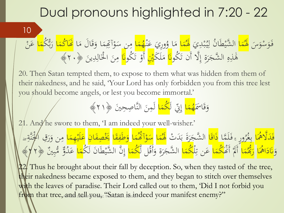# Dual pronouns highlighted in 7:20 - 22

### 10

َ فَوَسْوَسَ <mark>لَهُمَا</mark> م َ ै।<br>प <mark>َلَّٰهَا</mark> الشَّيْطَانُ لِيُبْدِيَ<br>ا  $\overline{\mathcal{L}}$  $\overline{a}$  $\ddot{\cdot}$ ه<br>به  $\frac{1}{2}$ الشَّيْطَانُ لِيُبْدِيَ <mark>لَهُمَا</mark> ا<br>ا <mark>े</mark> <mark>َلَّٰهُمَا</mark> مَا وُورِيَ عَـ <u>ء</u>  $\sum_{i=1}^{n}$ ُہ<br>ا مَا وُورِيَ عَنْ<mark>هُمَا</mark>  $\mathbf{A}$ م ्<br>प ै। टि ه<mark>ُمَا</mark> مِن سَوْآقِمَا وَقَالَ مَا <mark>كَاكُمَا</mark> رَبُّكُ<mark>مَا</mark> عَنْ  $\lambda$ ة<br>قا َ  $\begin{array}{c} \bullet \\ \bullet \\ \bullet \end{array}$ م  $\overline{a}$  $\mathbf{a}$ े<br>प  $\overline{\phantom{a}}$ े<br>प م هُٰذِهِ الشَّجَرَةِ إِلَّا أَن تَكُو<mark>نَا</mark> مَلَكَ<mark>ّيْنِ</mark> أَوْ تَكُو<mark>نَا</mark> مِنَ الْخَالِدِينَ ﴿٢٠﴾ إ ر<br>ا  $\mathcal{S}$  $\overline{a}$  $\frac{1}{2}$ **a**  $\mathcal{L}$ الإ<br>ا ر:<br>ن م <u>َ</u><br>ا  $\mathbf{A}$  $\ddot{\phantom{0}}$  $\overline{a}$ ِ لزا<br>ا ا  $\ddot{\phantom{0}}$ 

20. Then Satan tempted them, to expose to them what was hidden from them of their nakedness, and he said, 'Your Lord has only forbidden you from this tree lest you should become angels, or lest you become immortal.'

َسَ ا َ ق َ و ا َ م ُ لَ ّن ه ِ ِ إ ا َ ُكم َي ِص ِح َّا الن َ ن لَم ﴿٢١﴾ ِ

21. And he swore to them, 'I am indeed your well-wisher.'

فَدَلَّاهُمَا بِغُرُورٍ ۦ فَلَمَّا **∫** ل<br>ا <u>ة</u> ر<br>ا بِغُرُورِ ء<sub>َ</sub> فَلَمَّا <mark>ذَاقَا</mark> الشَّجَرَةَ بَدَتْ <mark>لَهُمَا لَمَوْآَهُمَا وَطَفِقَا يَخْصِفَانِ عَلَيْهِمَا</mark> مِن وَرَقِ الْمُنَّةِءِ<br>فَمَرْ أَيْرَ ءَبِرِدِ السَّجَرَةُ بَدَتْ لَهُمَا لَمَوْآَهُمَا وَطَفِقَا يَحْصِفَانِ ع ِ<br>ب <u>َةً</u><br>ا ب<br>|<br>| ر<br>ر  $\sum$ े<br>प <mark>ِھ</mark><br>و م <mark>ب</mark><br>و ।<br>द  $\frac{1}{\sqrt{2}}$ <u>َمُ</u> م المستخدم المستخدم المستخدم المستخدم المستخدم المستخدم المستخدم المستخدم المستخدم المستخدم المستخدم المستخدم المستخدم المستخدم المستخدم المستخدم المستخدم المستخدم المستخدم المستخدم المستخدم المستخدم المستخدم المستخدم المس ا<br>ا ै।<br>प  $\ddot{a}$ ا<br>مراجع ِرِ<br>د َ  $\mathbf{A}$ َ وَ<mark>نَادَاهُمَا</mark> رَبَّهُمَا **∫** ا َ ै।<br>प <mark>گ</mark> رَبُّهُمَا أَلَمْ أَهْ<mark>ْكُمَا</mark> عَن تِلْ<mark>كُمَا</mark> الشَّجَرَة وَأَقُل لَّكُمَا إِنَّ الشَّيْطَانَ لَكُ<mark>مَا</mark> عَدُوٌّ مُّبِينٌ ﴿٢**٣**﴾ ر<br>ا  $\hat{a}$ ै।<br>प  $\overline{\mathcal{X}}$ ِ<br>ِلَا ै।<br>प ر<br>(  $\sim$ َ ै।<br>प  $\int$ ै।<br>प  $\ddot{\cdot}$ 

22. Thus he brought about their fall by deception. So, when they tasted of the tree, their nakedness became exposed to them, and they began to stitch over themselves with the leaves of paradise. Their Lord called out to them, 'Did I not forbid you from that tree, and tell you, "Satan is indeed your manifest enemy?"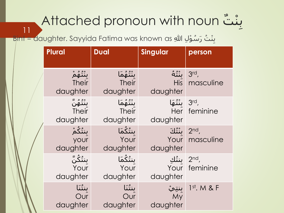### Attached pronoun with noun ت ن ِ ب  $\overline{a}$

بِنْتُ رَسُوْلِ اللهِ B<mark>int = d</mark>aughter. Sayyida Fatima was known as

| <b>Plural</b>                       | <b>Dual</b>                     | Singular                               | person                    |
|-------------------------------------|---------------------------------|----------------------------------------|---------------------------|
| ۪ؠڹ۠ٮؘؙۛۿؙۭ۠ۿۨ<br>Their<br>daughter | بنْتُهُمَا<br>Their<br>daughter | بنْتُهُ<br><b>His</b><br>daughter      | $3rd$ ,<br>masculine      |
| بِنْتُهُنَّ<br>Their<br>daughter    | بنْتُهُمَا<br>Their<br>daughter | 3rd, بِنْتُهَا<br>daughter             | Her feminine              |
| بِنتُكُمْ<br>your<br>daughter       | بِنتُكُمَا<br>Your<br>daughter  | ؖؠڹ۠ٛؾؙڬٙ<br>daughter                  | $2nd$ ,<br>Your masculine |
| بِنتُكُنَّ<br>Your<br>daughter      | بِنتُكُمَا<br>Your<br>daughter  | ِ 2 <sup>nd</sup> , بنتُكِ<br>daughter | Your feminine             |
| بِنتُنَا<br>Our<br>daughter         | بِنتُنَا<br>Our<br>daughter     | َ بِنتِيْ<br>My<br>daughter            | $1st$ . M & F             |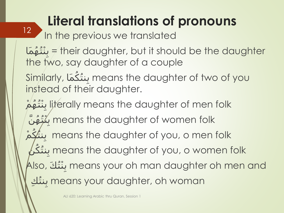# **Literal translations of pronouns**

### In the previous we translated

12

بِنْتُهُمَا $\neq$  their daughter, but it should be the daughter  $\ddot{\bullet}$ the two, say daughter of a couple

َما ,Similarly ُ تك ُ ِن ب means the daughter of two of you instead of their daughter.

literally means the daughter of men folk بِنْتُهُمْ  $\frac{1}{2}$  $\ddot{\bullet}$ ن ه ُ ت ُ ن ِ ب means the daughter of women folk  $\frac{1}{2}$ م ُ تك ُ ِن ب means the daughter of you, o men folk  $\frac{1}{2}$ ن ُ تك ُ ِن ب means the daughter of you, o women folk Also, بِنْتُكَ means your oh man daughter oh men and  $\overline{a}$ بِنتُكِ means your daughter, oh woman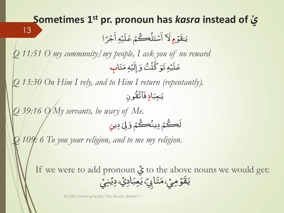

ALI 620: Learning Arabic thru Quran, Session 1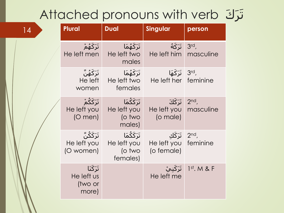## Attached pronouns with verb  $\vec{v}$

| 14 | <b>Plural</b>                                         | <b>Dual</b>                                             | <b>Singular</b>                                                | person               |
|----|-------------------------------------------------------|---------------------------------------------------------|----------------------------------------------------------------|----------------------|
|    | ؘتَرَكَهُمْ<br>He left men                            | ِ تَرَكَٰهُمَا<br>He left two<br>males                  | َ تَرَكَٰهُ<br>He left him                                     | $3rd$ ,<br>masculine |
|    | ڗۘٙڬؖۿؙڹۜ۠<br>He left<br>women                        | ِ تَرَكَهُم <u>َ</u> ا<br>He left two<br>females        | ,3rd تَرَكَّهَا<br>He left her feminine                        |                      |
|    | ِ تَرَكَكُمْ <b>لَ</b><br>He left you<br>$(O$ men $)$ | ؘتَرَكَكُمَا<br>He left you<br>(o two<br>males)         | تَرَكَكَ<br>He left you   masculine<br>(o male)                | $2nd$ ,              |
|    | ؚڗۘٙڮٙػؖٮ۠ۜ<br>He left you<br>(O women)               | <u>تَرَكَكُمَا</u><br>He left you<br>(o two<br>females) | .2 <sup>nd</sup> لَرَكَك<br>He left you feminine<br>(o female) |                      |
|    | تَرَكَنَا<br>He left us<br>(two or<br>more)           |                                                         | تَرَكَنِيْ<br>He left me                                       | $1st$ . M & F        |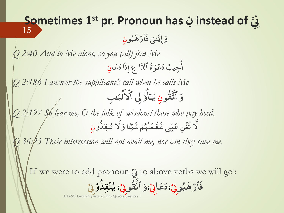### **Sometimes 1 st pr. Pronoun has ن instead of ِ ن**  ل<br>ا یَّـٰیَ ا يَّ<br>يا َ وَ إِيَّنِهَ فَأَدْ هَنُو **پ** ب **A** ه  $\overline{\phantom{a}}$ فَأَرَهَبُونِ *Q 2:40 And to Me alone, so you (all) fear Me* ُ أجيبُ ة<br>م ة َ و  $\overline{\phantom{a}}$ ع َ دَعْوَةَ ٱلدَّاعِ إِذَا دَعَا َ ع َ دَعَانِ *Q 2:186 I answer the supplicant's call when he calls Me* و **ائر** متع<br>اتقا َ وَ ٱتَّفُونِ يَتَأَوْلِي ۟ ٰٓ ٰـ  $\ddot{ }$ يَتَأَوْلِي ٱلْأَلْبَنبِ  $\ddot{\cdot}$ بر  $\frac{1}{2}$ ل َ  $\frac{1}{2}$ ٱْل *Q 2:197 So fear me, O the folk of wisdom/those who pay heed.* َلَا نُغُنِ L<br>C تُغُنِ عَنِّى َ عَنّى شَفَيْعَتْهُمْ .<br>أ ور<br>شهر َ ٰـع َ ف ن<br>ن ر<br>شَفَيْخَتْهُمُ شَبِيًّا ي ن<br>ن شَيْئًا وَلَا َ وَلَا يُنقِذُو ب<br>ا ؽڹقِذَونِ 36:23 Their intercession will not avail me, nor can they save me. If we were to add pronoun ي to above verbs we will get: و **پ** ب **A** ه  $\overline{\phantom{a}}$ ٱر <u>ة</u> ف  $\overline{\phantom{a}}$  $\sum_{i=1}^{n}$ نْ، ا َ ع د<br>ا د  $\overline{\phantom{a}}$  $\sum$ ذِيْءَ ٱتَّنْفَو <u>ئ</u> متع<br>اتقا َ و  $\overline{\phantom{a}}$  $\sum_{i=1}^{n}$ ن، , قِذَوۡ , ن  $\ddot{\cdot}$ ي  $\overline{\phantom{a}}$  $\sum_{i=1}^{n}$ ن<br>ني ALI 620: Learning Arabic thru Quran, Session 15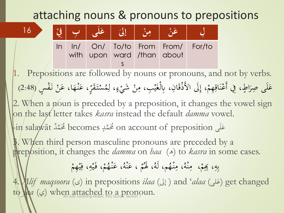### attaching nouns & pronouns to prepositions



1. Prepositions are followed by nouns or pronouns, and not by verbs. عَلَى صِرَاطٍ، فِي أَعْنَاقِهِمْ، إِلَى الأَذْقَانِ، بِالْغَيْبِ، مِنْ شَيْءٍ، لِمُسْتَقَرِّ، عَنْهَا، عَنْ ذَ  $\ddot{\mathbf{r}}$ ه<br>په .<br>فر م ة<br>ق  $\int$ م <u>:</u>  $\ddot{\lambda}$ ن م  $\frac{1}{2}$  $\overline{)}$ ر<br>. **ک** م َ م **ک** ٍ،<br>پُ مِنْ شَيْءٍ، لِمُسْتَقَرٍّ، عَنْهَا، عَنْ نَفْسٍ  $(2.48)$  $\ddot{\lambda}$ م ِ  $\zeta$ .<br>.<br>.  $\overline{\phantom{a}}$ .<br>م 2. When a noun is preceded by a preposition, it changes the vowel sign on the last letter takes *kasra* instead the default *damma* vowel. عَلَى on account of preposition مُحَمَّدٍ becomes مُحَمَّدٍ account of preposition مَحَمَّدٌ ى<br>ك 3. When third person masculine pronouns are preceded by a preposition, it changes the *damma* on *haa* ( $\triangle$ ) to *kasra* in some cases. م نہ<br>م م<br>ھم، لَهُ، لَهُ ه ن ، م م  $\mathbf{A}$ ام<br>ا بِي بِهِمْ، مِنْهُ، مِنْهُم، لَهُ، لَهُ، عَنْهُ، عَنْهُ، عَنْهُمْ، فَ م ه<br>نم  $\mathbf{A}$ م ِ ِ<br>ب ب َ م **€** ه ن ، ع م **ک** ام<br>ا ، عَنْهُ، عَنْهُمْ، فَيْهِ، فِيْهِمْ م ه<br>م **ک** م  $\ddot{\cdot}$ ه<br>به ِ ِ  $\ddot{\cdot}$ ه<br>به 4. *Alif maqsoora* (ى (in prepositions *ilaa* (لَإ ( and '*alaa* (لى ع (get changed

َ to *yaa* (ي) when attached to a pronoun.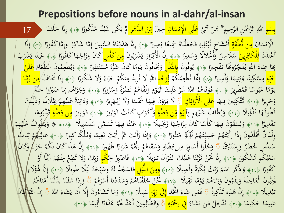### **Prepositions before nouns in al-dahr/al-insan** بِ<mark>سْمِ</mark> اللَّهِ الرَّحْمَٰنِ الرَّحِيمِ ۖ هَلْ أَتَىٰ <mark>عَلَى الْإِنسَانِ </mark>حِينٌ <mark>مِّنَ الدَّهْرِ لَ</mark>ا يَكُن شَيْئًا مَّذْكُورًا ﴿١﴾ إِنَّا خَلَقْنَا ﴿ 17 ا<br>ا ِ ا<br>ا م  $\frac{1}{\sqrt{2}}$ <mark>ء</mark> <u>َ</u> ِ<br>م ر<br>ا ء<br>م ∕م<br>م  $\ddot{\cdot}$ يا<br>. ي م ن .<br>م .<br>أ  $\int$ إ الْإِنسَانَ <mark>مِن نُّطْفَةٍ أَمْشَاجٍ نَّبْتَلِيهِ فَجَعَلْنَاهُ سَمِيعًا بَصِيرًا ﴿٣﴾ إِنَّا هَدَيْنَاهُ السَّبِيلَ إِمَّا شَاكِرًا وَإِمَّا كَفُورًا ﴿٣﴾ إِنَّا<br>نُمُونِ اوْجَرَتْ الْمَجْمَعَةِ الْمَشَاجِ نَّبْتَلِيهِ فَجَ</mark> بد<br>.. ا<br>قم ِ<br>ِم  $\overline{\phantom{0}}$  $\ddot{\cdot}$ **ء** ا<br>ا ِ ِ<br>با  $\ddot{\lambda}$ ت **بر**<br>.  $\ddot{\cdot}$ ر<br>. ب<br>.  $\int$ إ و<br>پ ر<br>- $\int$ إ  $\overline{\phantom{0}}$  $\ddot{\cdot}$  $\frac{1}{\sqrt{2}}$ ن ر<br>ا ل<br>ا  $\int$  $\frac{1}{2}$  $\int$ إ :<br>نا َ مدَّن أَع ِرين مل َكاف ل ا ّي ع س ال و مغََل أَ و ل ََلسِ س ﴿٤﴾ وَن ُ َ مشر ار ر ن امْلَب َّ س ِ ن َك إ أم ٍ م َن م َكا ور ُ َكاف ا ه ت م <u>َ</u> <u>،</u> ِ را<br>. ِ  $\overline{\phantom{0}}$ َ َ ے<br>ہ  $\overline{\phantom{0}}$ ب ر<br>. ي ر<br>. ر<br>. ب<br>ء ्<br>∧  $\mathbf{A}$ ا ر<br>. َ م<br>ا زَالْجُهَا كَافُورًا ﴿وَ﴾ عَيْنًا يَشْرَبُ<br>وَيْقُومُ مِنْ تَدَيْنَ لَئَمَ َ  $\ddot{\cdot}$ ≈<br>مذ  $\ddot{\cdot}$ َ ا  $\frac{1}{2}$ رُونَهَا تَفْجِيرًا<br>پَرِ عَمَّ فَجْرُو ا<br>بر<br>ب يا<br>. بِمَا عِبَادُ اللَّهِ يُفَجِّرُوهَا تَفْجِيرًا ﴿5﴾ يُوفُونَ<br>مَسْلَمَ اللَّهِ يُفَجِّرُوهَا تَفْجِيرًا ﴿5﴾  $\ddot{\cdot}$ بد <u>ب</u><br>. يُوفُونَ <mark>بِالنَّذْرِ</mark> وَيَخَافُونَ يَوْمًا كَانَ شَرُّهُ مُسْتَطِيرًا ۞» وَيُطْعِمُونَ الطَّعَامَ<br>وَفَقَّ وَجَمَعَ الْمَسْمَعِينَ مَنْ الْمَسْمَعِينَ الْمَرْكَبِينَ وَالْمَجْمَعِينَ الْمَتَّجَامَ  $\mathcal{A}$ و<br>ر يه<br>. َ י<br>י ت م م **گ**ر وَيُطْعِمُونَ الْطَعَامَ <mark>عَلَىٰ</mark><br>وَيَسْتَمَرُّدُونَ الْمُتَصَرِّحَ ِ ي َ <mark>ء</mark>  $\overline{\mathbf{a}}$ وس<mark>ې</mark><br>ځېنه<br>په ِ<br>بد س<br>بر <mark>حُبِّهِ</mark> مِسْكِينًا وَيَتِيمًا وَأَسِيرًا ۞٨﴾ إِنَّمَا نُطْعِمُكُمْ<br>كَتَبَاءُ مَنْ يَوْمِنَ أَنَّهُمْ وَأَسْتَرَبَّهُمْ وَأَسْتَرَبَّهُمْ وَأَسْتَرَبَّهُمْ وَأَنْ  $\mathcal{L}$ َ  $\sim$  $\ddot{\ddot{\lambda}}$ منز با<br>منز يا<br>. ي ہ<br>ِ  $\ddot{\lambda}$ م م إِنَّمَا نُطْعِمُكُمْ <mark>لِوَجْهِ</mark> اللَّهِ لَا نُرِيدُ مِنكُمْ جَزَاءً وَلَا شُكُورًا ﴿٩﴾ إِنَّا نَخَافُ <mark>مِن رَّتِنَا</mark><br>وَالْمَا نُطْعِمُكُمْ لِوَجْهِ ِ<br>ِو إ  $\overline{\mathbf{a}}$ م و<br>ِ ِ ل م ن  $\overline{\phantom{a}}$ ِ ر<br>ا َ  $\frac{1}{2}$ ز<br>ً .<br>. ند<br>ا ن  $\int$  $\overline{\mathbf{z}}$ ا  $\overline{\phantom{a}}$ وسًا قَمْطَرِيرًا م<br>ر  $\overline{\phantom{0}}$ **بہ** و<br>به ى<br>ك يَوْمًا عَبُوسًا قَمْطُرِيرًا ﴿١٠﴾ فَوَقَاهُمُ اللَّهُ شَرَّ ذَٰلِكَ الْيَوْمِ وَلَقَّاهُمْ<br>وَيَسْتَمَرُّونَ مَنْ الْمَرْضَ وَيَسْتَمَرُّونَ مِنْ الْمَرْضَ وَإِنَّا الْمَرْضَى وَالْقَاهُمْ  $\mathbf{A}$ م يا<br>. .<br>. ن م َ ِ م  $\ddot{\cdot}$ ِ ل ا<br>-<br>-فَوَقَاهُمُ اللَّهُ شَرَّ ذَٰلِكَ الْيَوْمِ وَلَقَّاهُمْ نَضْرَةً وَسُرُورًا<br>مُرْسِمِهِ ة<br>ا و<br>د  $\lambda$ ر<br>. و<br>ر م<br>ِ ُضْرَةً وَسُرُورًا ﴿١١﴾ وَجَزَاهُم بِمَا صَبَرُوا جَنَّةً<br>نَمْذِيَهُمْ وَسَلَّامًا فَلَيْفَ وَجَزَاهُمْ فَيَمْلُونَ ہ<br>ِ  $\ddot{\circ}$ ر<br>. تة<br>" ُ<br>ا  $\ddot{\cdot}$ ز<br>؛ **بر**<br>بر  $\overline{\phantom{a}}$ ر<br>. وَحَرِيرًا ﴿١٢﴾ مُّتَّكِثِينَ فِيهَا <mark>عَلَى الْأَرَائِكِ</mark><br>وَفَرَدَ الْمَثَلِّينَ هُدَا وَالْمَدَانِ م<br>بر َ ِ َ<br>بگر مگر <mark>ر</mark> <mark>ک</mark><br>ا  $\frac{1}{2}$ حُ لَا يَرَوْنَ فِيهَا شَمْسًا وَلَا زَمْهَرِيرًا ﴿١٣﴾ وَدَانِيَةً عَلَيْهِمُ ظِلَالُهَا وَذُلِّلَتْ<br>الْمَسْمَلِينَ عَمَّا يَسْمَعُ الْمَسْمَاتِ وَاللَّهُ عَلَيْهِمُ ظِلَالُهَا وَذُلِّلَتْ ِ ه<br><mark>م</mark> ر<br>ا َ ر<br>ا َ م َ و<br>پر ر<br>بر ا م **م:**<br>∎ <mark>ء</mark> ä  $\ddot{\cdot}$ ي ِ<br>ِن  $\ddot{\phantom{0}}$ و<br>پر لَ ِ<br>ل ل قُطُوفُهَا تَذْلِيلًا ﴿١٤﴾ وَيُطَافُ عَلَيْهِم بِآ<br>رُه ي ِ<br>ل َ .<br>.<br>. **ء** ي َ وَيُطَافُ عَلَيْهِم بِآ<mark>نِيَةٍ</mark> <mark>مِّن فِضَّةٍ وَ</mark>أَكْوَابِ كَانَتْ قَوَارِيرَا ﴿١٠﴾ قَوَارِيرَ <mark>مِن فِضَّةٍ قَ</mark>دَّرُوهَا<br>يَكُمُّهُ مَيَّةٍ مِنْ الْجَمَّاءِ ا<br>قم ا<br>ا ي ِ<br>ن ن ا<br>قم <u>،</u> ِ<br>م ِ<br>ب ا َ َ ر<br>. َ ر<br>. َ ا<br>قم <u>،</u>  $\overline{\mathbf{z}}$ **م** ر<br>ِ قَلَّكْرُ قب  $\overline{\phantom{a}}$ ر<br>په ير مد َق َل ت ﴿١٦﴾ َجن ا ْ ه ِ ي  $\ddot{\cdot}$ ب َ َ م<br>ا وَيُسْقَوْنَ فِيهَا كَأْسًا كَانَ مِزَاجُهَا زَنجَبِيلًا ۞١٧﴾ عَيْنًا فِيهَا تُسَمَّىٰ سَلْسَبِيلًا ۞٨١﴾ ۞ وَيَطُوفُ عَلَيْهِمْ<br>وَيُسْقَوْنَ فِيهَا كَأْسًا كَانَ مِزَاجُهَا زَنجَبِيلًا ۞١٧﴾ عَيْنًا فِيهَا تُسَمَّىٰ سَلْسَ ز<br>ً  $\frac{1}{2}$  $\frac{1}{2}$ َ ِ م م<br>.<br>. ي َ ي  $\ddot{\cdot}$ ر<br>ڊ  $\overline{\phantom{0}}$  $\ddot{\phantom{0}}$ ے<br>ا ِ  $\frac{1}{\sqrt{2}}$ ن م **ء** م م **ء** يا<br>. ي َ <u>ر</u> وِلْدَانٌ مُّخَلَّدُونَ إِذَا رَأَيْتَهُمْ حَسِبْتَهُمْ لُؤْلُؤَا مَّنثُورًا ﴿١٩﴾ وَإِذَا رَأَيْتَ ثُمَّ رَأَيْتَ نَعِيمًا وَمُلْكًا كَ<br>مُوهُمَّةٌ الْمَسْرَةُ وَمَدَّدَةٍ مِنْ يَسْرَعُونَ مِنْ يَسْرَعُونَ مِنْ الْمَرْدِ و ا ۇ ل م<br>م ل م م<br>مو ر<br>. ر<br>.  $\int$ ا ل<br>ا مل وَإِذَا رَأَيْتَ ثُمَّ رَأَيْتَ نَعِيمًا وَمُلْكًا كَبِيرًا ﴿٢٠﴾ عَالِيَهُمْ ثِيَابُ<br>وَإِذَا رَأَيْتَ ثُمَّ رَأَيْتَ نَعِيمًا وَمُلْكًا كَبِيرًا ﴿٢٠﴾ عَالِيَهُمْ ثِيَابُ َ  $\ddot{\phantom{0}}$ ِ<br>ِو ر<br>. ر<br>ا  $\int$ إ و<br>. ر (<br>.  $\ddot{\ddot{\cdot}}$ ي ڹ<br>ڹ نة ل م  $\ddot{\cdot}$ ِ<br>ا **ک** ق ٌ ََب ِس و َ م ت م إ َ نڈس څضٌرٌ<br>موځ په مو  $\overline{\phantom{a}}$ م<br>ا و<br>سد ا<br>چ ً وَحُلُّوا أَسَاوِرَ ر<br>بر .<br>. وَحُلُّوا أَسَاوِرَ مِن *فِضَّة*<br>نَ<sup>هِ</sup> مُرَسَّفَ مَنَدَا كَمَّا مُرَّمَّةً مِن فِضَّ وَسَقَاهُمْ رَبَّهُمْ شَرَابًا طَهُورًا ﴿٢١﴾ إِنَّ هَٰذَا كَانَ لَكُمْ جَزَاءُ وَكَانَ<br>يَسْهَ أَسْرَاهِ الْمَهْوَالِ اللَّهُ وَ اللَّهُ اللَّهُ مِنْ اللَّهُ وَ اللَّهُ وَكَانَ ة<br>م  $\overline{\phantom{0}}$ و<br>. ر<br>ا ب<br>. ر<br>ً م ر<br>ا م َ |S<br>| َ ا<br>ا َٰ َ  $\int$ ا ر<br>ا يُكُم مَّشْكُورًا<br>مُ و<br>م م سَعْيُكُم مَّشْكُورًا ﴿٢٢﴾ إِنَّا نَحْنُ نَزَّلْنَا عَلَيْكَ الْقُرْآنَ تَنزِيلًا<br>يَهُمْ ر<br>ر ٽ<br>ا ر<br>ا ء<br>ِ  $\frac{1}{2}$ إِنَّا نَحْنُ نَزَّلْنَا عَلَيْكَ الْقُرْآنَ تَنزِيلًا ﴿٢٣﴾<br>إِنَّا نَحْنُ نَزَّلْنَا عَلَيْكَ الْقُرْآنَ لَمَجَمْعَ إِنَّا فَاصْبِرْ لِحُ<mark>كْمِ</mark> رَبِّكَ وَلَا تُطِعْ مِنْهُمْ آقِمًا أَوْ<br>مرورة من الصَّار م <u>ف</u> و<br>ج ِس<br>ب بد<br>ز ر<br>. ه<br>د  $\overline{\phantom{a}}$ ֦֧֦֧֦֧֦֧֦֧֦֧֦֧֦֧֦֧<br>֧֧֧ׅ֧ׅ֦֧֦֧֦֧֦֧֦֦֧֦֧֦֧֦֧֜֜֜֜֜֜֜֓֝֬֝֬<br>֧֛֪֪֪֜֩֞ م  $\mathbf{A}$ م ا  $\frac{1}{2}$ كَفُورًا ﴿٢٤﴾ وَاذْكُرِ اسْمَ رَبِّكَ بُكْرَةً وَأَصِيلًا ﴿٢٠﴾ <mark>وَمِنَ اللَّيْلِ </mark>فَاسْجُدْ لَهُ وَسَبِّحْهُ لَيْلًا طَوِيلًا ﴿٢٠﴾ إِنَّ هَٰؤُلَاءِ<br>مُ مُ حَدَّثَ اللَّهُ حَمَلَ اللَّهُ رَبِّكَ بُكْرَةً وَأَصِيلًا ﴿٢٠﴾ وَم ہ<br>بر  $\ddot{\circ}$ ر<br>ر ِ<br>بِ بد<br>بر ر<br>ِ َ .<br>.<br>. َ م ي  $\ddot{\phantom{0}}$ ِ<br>ِم ەر<br>ت م بد .<br>. ہ<br>ءِ <u>ف</u>  $\ddot{\cdot}$ َ<br>ِع  $\frac{1}{2}$ ه<br>بر  $\int$ إ يُجِبُّونَ الْعَاجِلَةَ وَيَذَرُّونَ وَرَاءَهُمْ يَوْمًا ثَقِيلًا ۞٢٧﴾ تَحْنُ خَلَقْنَاهُمْ وَشَدَدْنَا أَسْرَهُمْ وَ<br>يَجِبُّونَ الْعَاجِلَةَ وَيَذَرُّونَ وَرَاءَهُمْ يَوْمًا ثَقِيلًا ۞٢٧﴾ تَحْنُ خَلَقْنَاهُمْ وَشَدَدْنَا ي  $\ddot{a}$  $\mathcal{A}$ مر يا<br>. م ء<br>' ر<br>۔ و<br>ه يا<br>. بان ەر<br>تە **گ**ر بين<br>ج م ر<br>. .<br>. نا<br>نا َ م  $\frac{1}{2}$ ن .<br>م .<br>م ً وَإِذَا شِئْنَا بَدَّلْنَا أَمْثَالَهُمْ<br>يَذَٰذَ شہ<br>م  $\tilde{\mathbf{r}}$ م  $\ddot{\cdot}$ ب<br>.  $\ddot{\cdot}$ ن م  $\int$ إ ہ<br>د م تَبْدِيلًا ﴿٢٨﴾ إِنَّ هَٰذِهِ تَذْكِرَةٌ <u>ي</u><br>: **م**<br>. ه<br>به ت<br>ا ر<br>. ت<br>ا ت ِ  $\boldsymbol{\beta}$  $\int$ إ ا<br>چ َّ فَمَن شَاءَ اتَّخَذَ <mark>إِلَىٰ رَبِّهِ </mark>سَبِيلًا ﴿٢٩﴾<br>مَسْ الْمَسْلَمَةُ الْمُخْذَ إِلَىٰ رَبَّهِ <u>ء</u>  $\ddot{\phantom{0}}$ ِ ِ<br>بِ <mark>بد</mark><br>مز ر<br>ا  $\int$ إ  $\ddot{\cdot}$ بد .<br>. وَمَا تَشَاءُونَ إِلَّا أَن يَشَاءَ اللَّهُ ۚ إِنَّ اللَّهَ ۖ إِنَّ اللَّهَ كَانَ<br>مَعَذَبَ أَوْ يَسْ  $\overline{\phantom{a}}$  $\mathcal{A}$ َ ֦֧֦֧֦֧֦֧֦֧֦֧֦֧֦֧֦֧֦֧֦֧֦֧֦֧֦֧֦֧֦֧֓֓֞֓֓֞֓֓֓֓<br>֧ׅ֧֪֪֧֦֧֦֧֦֧֦֧֦֧֦֧֦֧֦֧֜֜֓֓֞֓֩֓֝֬֓֓֞֓֝֓<br>֧֪֩  $\int$ عَلِيمًا حَكِيمًا ﴿٣٠﴾  $\ddot{\phantom{0}}$  $\blacktriangle$ ا ى<br>ك مَن يَشَاءُ  $\mathcal{L}$ )<br>پ ل مدخِ ُ و<br>يو ا<br>ا فِي رَحْمَتِهِ ۚ وَالظَّالِمِينَ أَعَدَّ لَهُمْ عَذَابًا أَلِيمًا ﴿٣١﴾ ِ<br>بڑ <u>تة</u> <mark>ُ</mark><br>ا ֦֘<u>֚</u><br>֧֪֧֦֖֦֦֖֦֦֖֦֦֦֖֖֖֦֖֧֦֖֦֖֦֦֖֖֦֖֧֦֖֦֧֦֖֦֦֩֩֘֘֝֘֘֝֘֘֘֝֘֘֘֘֘֝֞֞֞֘֞֞֘ ى<br>ك ِ َ  $\blacklozenge$ ِ<br>ل ب<br>. ى<br> م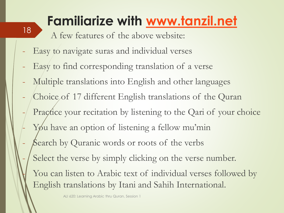# **Familiarize with [www.tanzil.net](http://www.tanzil.net/)**

A few features of the above website:

- Easy to navigate suras and individual verses
- Easy to find corresponding translation of a verse
- Multiple translations into English and other languages
- Choice of 17 different English translations of the Quran
- Practice your recitation by listening to the Qari of your choice
- You have an option of listening a fellow mu'min
- Search by Quranic words or roots of the verbs
- Select the verse by simply clicking on the verse number.
	- You can listen to Arabic text of individual verses followed by English translations by Itani and Sahih International.